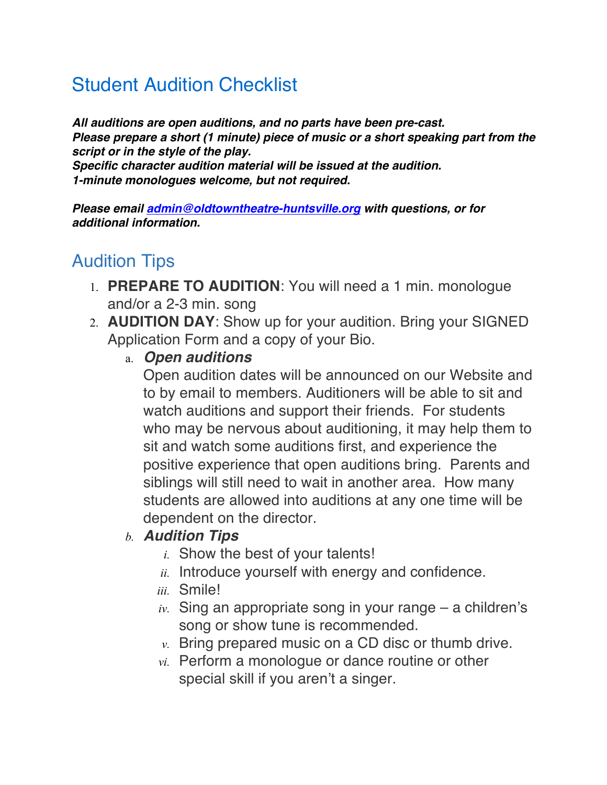## Student Audition Checklist

*All auditions are open auditions, and no parts have been pre-cast. Please prepare a short (1 minute) piece of music or a short speaking part from the script or in the style of the play.* 

*Specific character audition material will be issued at the audition. 1-minute monologues welcome, but not required.*

*Please email admin@oldtowntheatre-huntsville.org with questions, or for additional information.*

## Audition Tips

- 1. **PREPARE TO AUDITION**: You will need a 1 min. monologue and/or a 2-3 min. song
- 2. **AUDITION DAY**: Show up for your audition. Bring your SIGNED Application Form and a copy of your Bio.
	- a. *Open auditions*

Open audition dates will be announced on our Website and to by email to members. Auditioners will be able to sit and watch auditions and support their friends. For students who may be nervous about auditioning, it may help them to sit and watch some auditions first, and experience the positive experience that open auditions bring. Parents and siblings will still need to wait in another area. How many students are allowed into auditions at any one time will be dependent on the director.

## *b. Audition Tips*

- *i.* Show the best of your talents!
- *ii.* Introduce yourself with energy and confidence.
- *iii.* Smile!
- *iv.* Sing an appropriate song in your range a children's song or show tune is recommended.
- *v.* Bring prepared music on a CD disc or thumb drive.
- *vi.* Perform a monologue or dance routine or other special skill if you aren't a singer.